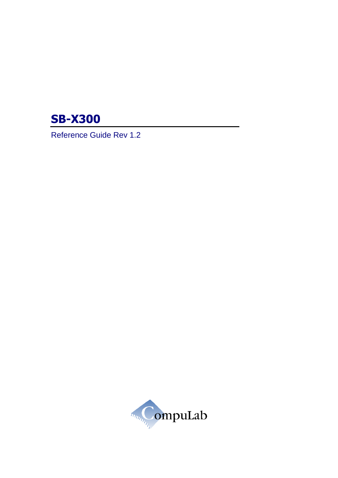

Reference Guide Rev 1.2

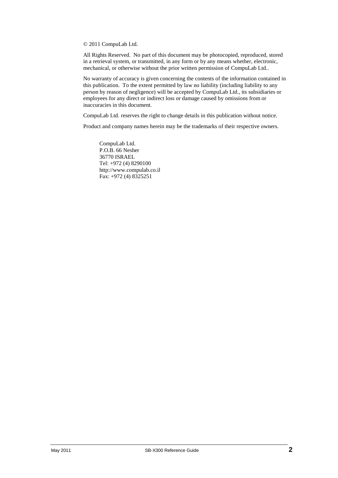© 2011 CompuLab Ltd.

All Rights Reserved. No part of this document may be photocopied, reproduced, stored in a retrieval system, or transmitted, in any form or by any means whether, electronic, mechanical, or otherwise without the prior written permission of CompuLab Ltd..

No warranty of accuracy is given concerning the contents of the information contained in this publication. To the extent permitted by law no liability (including liability to any person by reason of negligence) will be accepted by CompuLab Ltd., its subsidiaries or employees for any direct or indirect loss or damage caused by omissions from or inaccuracies in this document.

CompuLab Ltd. reserves the right to change details in this publication without notice.

Product and company names herein may be the trademarks of their respective owners.

CompuLab Ltd. P.O.B. 66 Nesher 36770 ISRAEL Tel: +972 (4) 8290100 http://www.compulab.co.il Fax: +972 (4) 8325251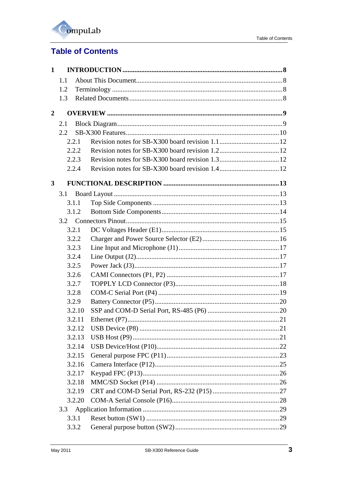

# **Table of Contents**

| $\mathbf{1}$            |       |        |  |
|-------------------------|-------|--------|--|
|                         | 1.1   |        |  |
|                         | 1.2   |        |  |
|                         | 1.3   |        |  |
| $\overline{2}$          |       |        |  |
|                         | 2.1   |        |  |
|                         | 2.2   |        |  |
|                         | 2.2.1 |        |  |
|                         | 2.2.2 |        |  |
|                         | 2.2.3 |        |  |
|                         | 2.2.4 |        |  |
| $\overline{\mathbf{3}}$ |       |        |  |
|                         | 3.1   |        |  |
|                         | 3.1.1 |        |  |
|                         | 3.1.2 |        |  |
|                         |       |        |  |
|                         | 3.2.1 |        |  |
|                         | 3.2.2 |        |  |
|                         | 3.2.3 |        |  |
|                         | 3.2.4 |        |  |
|                         | 3.2.5 |        |  |
|                         | 3.2.6 |        |  |
|                         | 3.2.7 |        |  |
|                         | 3.2.8 |        |  |
|                         | 3.2.9 |        |  |
|                         |       | 3.2.10 |  |
|                         |       | 3.2.11 |  |
|                         |       | 3.2.12 |  |
|                         |       | 3.2.13 |  |
|                         |       | 3.2.14 |  |
|                         |       | 3.2.15 |  |
|                         |       | 3.2.16 |  |
|                         |       | 3.2.17 |  |
|                         |       | 3.2.18 |  |
|                         |       | 3.2.19 |  |
|                         |       | 3.2.20 |  |
|                         | 3.3   |        |  |
|                         | 3.3.1 |        |  |
|                         | 3.3.2 |        |  |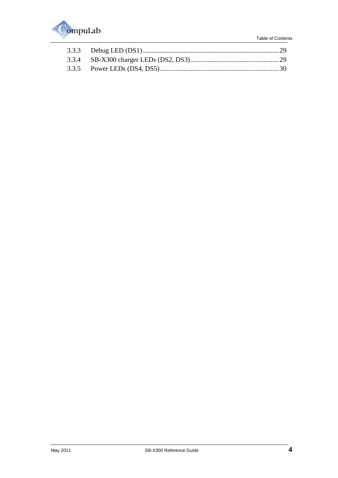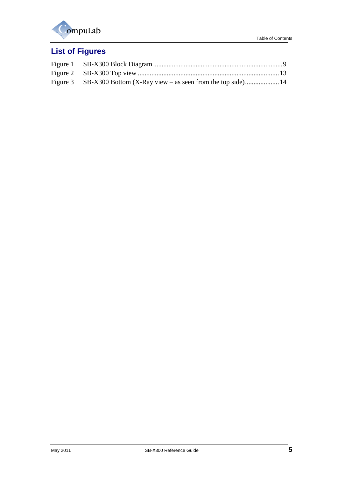

# **List of Figures**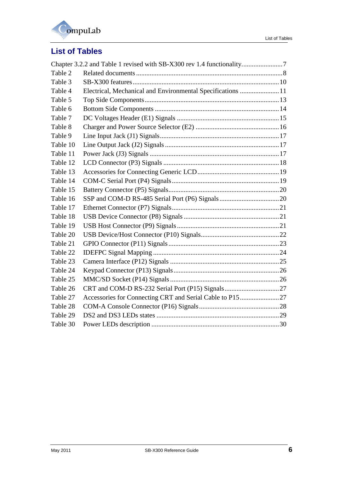

# **List of Tables**

| Electrical, Mechanical and Environmental Specifications 11 |
|------------------------------------------------------------|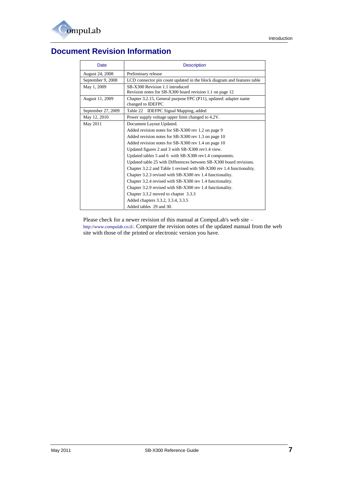

# **Document Revision Information**

| Date               | <b>Description</b>                                                                          |
|--------------------|---------------------------------------------------------------------------------------------|
| August 24, 2008    | Preliminary release                                                                         |
| September 9, 2008  | LCD connector pin count updated in the block diagram and features table                     |
| May 1, 2009        | SB-X300 Revision 1.1 introduced<br>Revision notes for SB-X300 board revision 1.1 on page 12 |
| August 11, 2009    | Chapter 3.2.15, General purpose FPC (P11), updated: adapter name<br>changed to IDEFPC       |
| September 27, 2009 | Table 22 IDEFPC Signal Mapping, added                                                       |
| May 12, 2010       | Power supply voltage upper limit changed to 4.2V.                                           |
| May 2011           | Document Layout Updated.                                                                    |
|                    | Added revision notes for SB-X300 rev 1.2 on page 9                                          |
|                    | Added revision notes for SB-X300 rev 1.3 on page 10                                         |
|                    | Added revision notes for SB-X300 rev 1.4 on page 10                                         |
|                    | Updated figures 2 and 3 with SB-X300 rev1.4 view.                                           |
|                    | Updated tables 5 and 6 with SB-X300 rev1.4 components.                                      |
|                    | Updated table 25 with Differences between SB-X300 board revisions.                          |
|                    | Chapter 3.2.2 and Table 1 revised with SB-X300 rev 1.4 functionality.                       |
|                    | Chapter 3.2.3 revised with SB-X300 rev 1.4 functionality.                                   |
|                    | Chapter 3.2.4 revised with SB-X300 rev 1.4 functionality.                                   |
|                    | Chapter 3.2.9 revised with SB-X300 rev 1.4 functionality.                                   |
|                    | Chapter 3.3.2 moved to chapter 3.3.3                                                        |
|                    | Added chapters 3.3.2, 3.3.4, 3.3.5                                                          |
|                    | Added tables 29 and 30.                                                                     |

<span id="page-6-1"></span><span id="page-6-0"></span>Please check for a newer revision of this manual at CompuLab's web site – <http://www.compulab.co.il/>. Compare the revision notes of the updated manual from the web site with those of the printed or electronic version you have.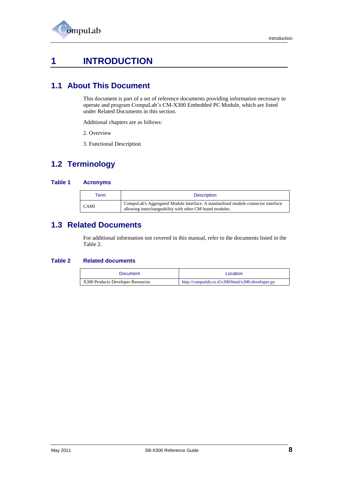

# **1 INTRODUCTION**

## <span id="page-7-0"></span>**1.1 About This Document**

This document is part of a set of reference documents providing information necessary to operate and program CompuLab's CM-X300 Embedded PC Module, which are listed under [Related Documents](#page-7-4) in this section.

Additional chapters are as follows:

- [2. Overview](#page-8-3)
- [3. Functional Description](#page-12-5)

# <span id="page-7-1"></span>**1.2 Terminology**

#### **Table 1 Acronyms**

| erm"        | <b>Description</b>                                                                                                                            |
|-------------|-----------------------------------------------------------------------------------------------------------------------------------------------|
| <b>CAMI</b> | CompuLab's Aggregated Module Interface. A standardized module connector interface<br>allowing interchangeability with other CM brand modules. |

# <span id="page-7-4"></span><span id="page-7-2"></span>**1.3 Related Documents**

For additional information not covered in this manual, refer to the documents listed in the [Table 2.](#page-7-5)

#### <span id="page-7-5"></span><span id="page-7-3"></span>**Table 2 Related documents**

| <b>Document</b>                   | Location                                          |
|-----------------------------------|---------------------------------------------------|
| X300 Products Developer Resources | http://compulab.co.il/x300/html/x300-developer.py |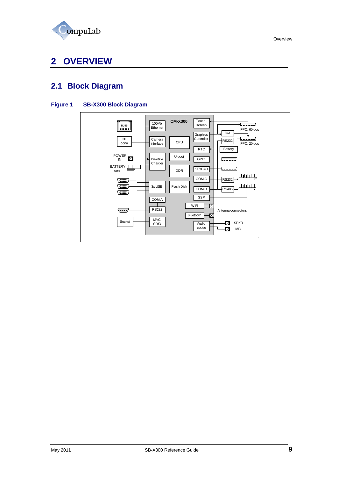

# <span id="page-8-3"></span><span id="page-8-0"></span>**2 OVERVIEW**

# <span id="page-8-1"></span>**2.1 Block Diagram**

### <span id="page-8-2"></span>**Figure 1 SB-X300 Block Diagram**

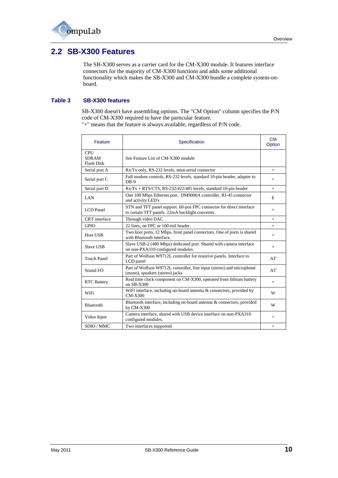# <span id="page-9-0"></span>**2.2 SB-X300 Features**

The SB-X300 serves as a carrier card for the CM-X300 module. It features interface connectors for the majority of CM-X300 functions and adds some additional functionality which makes the SB-X300 and CM-X300 bundle a complete system-onboard.

#### <span id="page-9-1"></span>**Table 3 SB-X300 features**

SB-X300 doesn't have assembling options. The "CM Option" column specifies the P/N code of CM-X300 required to have the particular feature.

| Feature                                         | Specification                                                                                                            | <b>CM</b><br>Option |
|-------------------------------------------------|--------------------------------------------------------------------------------------------------------------------------|---------------------|
| <b>CPU</b><br><b>SDRAM</b><br><b>Flash Disk</b> | See Feature List of CM-X300 module                                                                                       |                     |
| Serial port A                                   | Rx/Tx only, RS-232 levels, mini-serial connector                                                                         | $+$                 |
| Serial port C                                   | Full modem controls, RS-232 levels, standard 10-pin header, adapter to<br>$DB-9$                                         | $+$                 |
| Serial port D                                   | $Rx/Tx + RTS/CTS, RS-232/422/485$ levels, standard 10-pin header                                                         | $+$                 |
| LAN                                             | One 100 Mbps Ethernet port. DM9000A controller. RJ-45 connector<br>and activity LED's                                    | E                   |
| LCD Panel                                       | STN and TFT panel support. 60-pos FPC connector for direct interface<br>to certain TFT panels. 22mA backlight converter. | $+$                 |
| CRT interface                                   | Through video DAC                                                                                                        | $+$                 |
| <b>GPIO</b>                                     | 22 lines, on FPC or 100-mil header.                                                                                      | $+$                 |
| Host USB                                        | Two host ports, 12 Mbps, front panel connectors. One of ports is shared<br>with Bluetooth interface.                     | $+$                 |
| Slave USB                                       | Slave USB-2 (480 Mbps) dedicated port. Shared with camera interface<br>on non-PXA310 configured modules.                 | $+$                 |
| <b>Touch Panel</b>                              | Part of Wolfson W9712L controller for resistive panels. Interface to<br>LCD panel                                        | AT                  |
| Sound $I/O$                                     | Part of Wolfson W9712L controller, line input (stereo) and microphone<br>(mono), speakers (stereo) jacks                 | AT                  |
| <b>RTC Battery</b>                              | Real time clock component on CM-X300, operated from lithium battery<br>on $SB-X300$                                      | $+$                 |
| WiFi                                            | WiFi interface, including on-board antenna & connectors, provided by<br><b>CM-X300</b>                                   | W                   |
| Bluetooth                                       | Bluetooth interface, including on-board antenna & connectors, provided<br>by CM-X300                                     | W                   |
| Video Input                                     | Camera interface, shared with USB device interface on non-PXA310<br>configured modules.                                  | $+$                 |
| SDIO / MMC                                      | Two interfaces supported                                                                                                 |                     |

"+" means that the feature is always available, regardless of P/N code.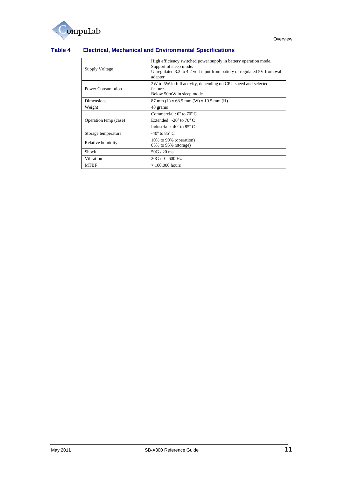## <span id="page-10-0"></span>**Table 4 Electrical, Mechanical and Environmental Specifications**

| Supply Voltage        | High efficiency switched power supply in battery operation mode.<br>Support of sleep mode.<br>Unregulated 3.3 to 4.2 volt input from battery or regulated 5V from wall<br>adapter. |
|-----------------------|------------------------------------------------------------------------------------------------------------------------------------------------------------------------------------|
| Power Consumption     | 2W to 5W in full activity, depending on CPU speed and selected<br>features.<br>Below 50mW in sleep mode                                                                            |
| <b>Dimensions</b>     | $87 \text{ mm}$ (L) x 68.5 mm (W) x 19.5 mm (H)                                                                                                                                    |
| Weight                | 48 grams                                                                                                                                                                           |
| Operation temp (case) | Commercial: $0^{\circ}$ to $70^{\circ}$ C<br>Extended : -20 $^{\circ}$ to 70 $^{\circ}$ C<br>Industrial : -40 $^{\circ}$ to 85 $^{\circ}$ C                                        |
| Storage temperature   | -40 $\degree$ to 85 $\degree$ C                                                                                                                                                    |
| Relative humidity     | 10% to 90% (operation)<br>$05\%$ to 95% (storage)                                                                                                                                  |
| <b>Shock</b>          | $50G/20$ ms                                                                                                                                                                        |
| Vibration             | $20G / 0 - 600 Hz$                                                                                                                                                                 |
| <b>MTBF</b>           | $>100,000$ hours                                                                                                                                                                   |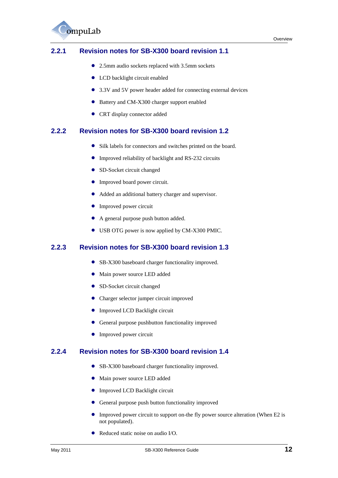

## <span id="page-11-4"></span><span id="page-11-0"></span>**2.2.1 Revision notes for SB-X300 board revision 1.1**

- 2.5mm audio sockets replaced with 3.5mm sockets
- LCD backlight circuit enabled
- 3.3V and 5V power header added for connecting external devices
- Battery and CM-X300 charger support enabled
- CRT display connector added

## <span id="page-11-1"></span>**2.2.2 Revision notes for SB-X300 board revision 1.2**

- Silk labels for connectors and switches printed on the board.
- Improved reliability of backlight and RS-232 circuits
- SD-Socket circuit changed
- Improved board power circuit.
- Added an additional battery charger and supervisor.
- **•** Improved power circuit
- A general purpose push button added.
- USB OTG power is now applied by CM-X300 PMIC.

### <span id="page-11-2"></span>**2.2.3 Revision notes for SB-X300 board revision 1.3**

- SB-X300 baseboard charger functionality improved.
- Main power source LED added
- SD-Socket circuit changed
- Charger selector jumper circuit improved
- **Improved LCD Backlight circuit**
- General purpose pushbutton functionality improved
- Improved power circuit

### <span id="page-11-3"></span>**2.2.4 Revision notes for SB-X300 board revision 1.4**

- SB-X300 baseboard charger functionality improved.
- Main power source LED added
- Improved LCD Backlight circuit
- General purpose push button functionality improved
- Improved power circuit to support on-the fly power source alteration (When E2 is not populated).
- Reduced static noise on audio I/O.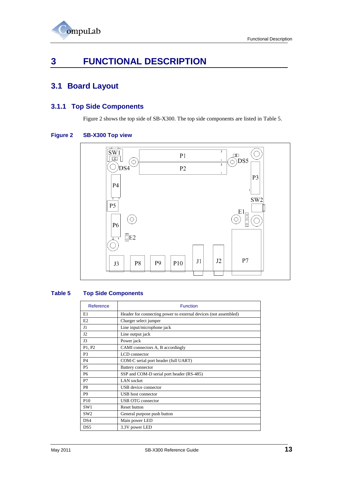

# <span id="page-12-5"></span><span id="page-12-0"></span>**3 FUNCTIONAL DESCRIPTION**

# <span id="page-12-1"></span>**3.1 Board Layout**

## <span id="page-12-2"></span>**3.1.1 Top Side Components**

[Figure 2](#page-12-3) shows the top side of SB-X300. The top side components are listed in [Table 5.](#page-12-4)

#### <span id="page-12-3"></span>**Figure 2 SB-X300 Top view**



#### <span id="page-12-4"></span>**Table 5 Top Side Components**

| Reference       | <b>Function</b>                                                 |  |
|-----------------|-----------------------------------------------------------------|--|
| E1              | Header for connecting power to external devices (not assembled) |  |
| E2              | Charger select jumper                                           |  |
| J1              | Line input/microphone jack                                      |  |
| J2              | Line output jack                                                |  |
| J3              | Power jack                                                      |  |
| P1, P2          | CAMI connectors A, B accordingly                                |  |
| P3              | LCD connector                                                   |  |
| <b>P4</b>       | COM-C serial port header (full UART)                            |  |
| P5              | <b>Battery connector</b>                                        |  |
| <b>P6</b>       | SSP and COM-D serial port header (RS-485)                       |  |
| P7              | <b>LAN</b> socket                                               |  |
| P8              | USB device connector                                            |  |
| P <sub>9</sub>  | USB host connector                                              |  |
| P <sub>10</sub> | <b>USB OTG connector</b>                                        |  |
| SW <sub>1</sub> | <b>Reset button</b>                                             |  |
| SW <sub>2</sub> | General purpose push button                                     |  |
| DS4             | Main power LED                                                  |  |
| DS <sub>5</sub> | 3.3V power LED                                                  |  |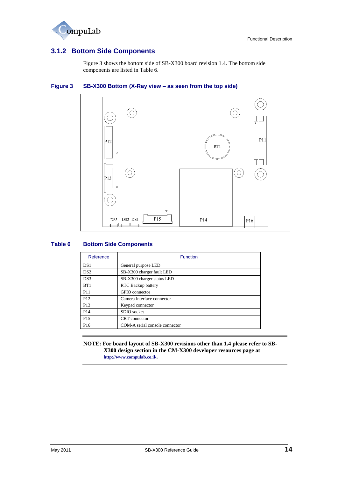

## <span id="page-13-0"></span>**3.1.2 Bottom Side Components**

[Figure 3](#page-13-1) shows the bottom side of SB-X300 board revision 1.4. The bottom side components are listed in [Table 6.](#page-13-2)

## (O Ó  $P11$  $P12$  $BT1$  $\triangleleft$ (O)  $\circ$  $P13$ P15 DS3 DS2 DS1 P14 P<sub>16</sub>  $\Box$ ╗

### <span id="page-13-1"></span>**Figure 3 SB-X300 Bottom (X-Ray view – as seen from the top side)**

#### <span id="page-13-2"></span>**Table 6 Bottom Side Components**

| Reference       | <b>Function</b>                |  |
|-----------------|--------------------------------|--|
| DS <sub>1</sub> | General purpose LED            |  |
| DS2             | SB-X300 charger fault LED      |  |
| DS3             | SB-X300 charger status LED     |  |
| BT1             | RTC Backup battery             |  |
| P <sub>11</sub> | GPIO connector                 |  |
| P <sub>12</sub> | Camera Interface connector     |  |
| P <sub>13</sub> | Keypad connector               |  |
| P <sub>14</sub> | SDIO socket                    |  |
| P <sub>15</sub> | CRT connector                  |  |
| P <sub>16</sub> | COM-A serial console connector |  |

**NOTE: For board layout of SB-X300 revisions other than 1.4 please refer to SB-X300 design section in the CM-X300 developer resources page at <http://www.compulab.co.il/>.**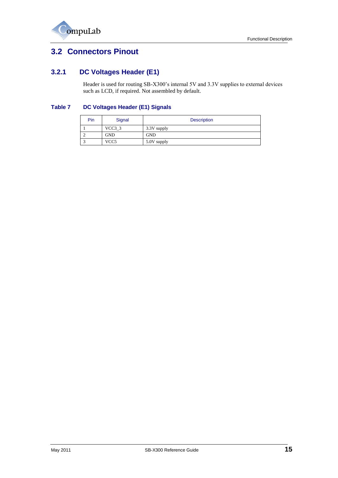

# <span id="page-14-0"></span>**3.2 Connectors Pinout**

## <span id="page-14-1"></span>**3.2.1 DC Voltages Header (E1)**

Header is used for routing SB-X300's internal 5V and 3.3V supplies to external devices such as LCD, if required. Not assembled by default.

### <span id="page-14-2"></span>**Table 7 DC Voltages Header (E1) Signals**

| Pin | Signal             | <b>Description</b> |
|-----|--------------------|--------------------|
|     | VCC <sub>3</sub> 3 | 3.3V supply        |
|     | GND                | <b>GND</b>         |
|     | VCC <sub>5</sub>   | 5.0V supply        |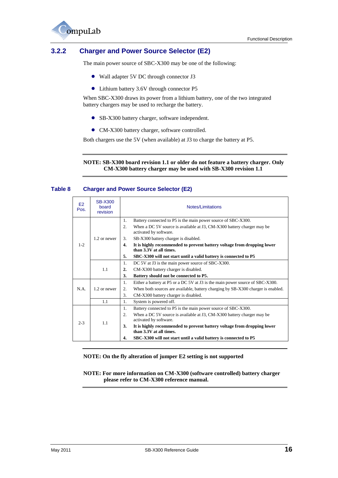

## <span id="page-15-0"></span>**3.2.2 Charger and Power Source Selector (E2)**

The main power source of SBC-X300 may be one of the following:

- Wall adapter 5V DC through connector J3
- Lithium battery 3.6V through connector P5

When SBC-X300 draws its power from a lithium battery, one of the two integrated battery chargers may be used to recharge the battery.

- SB-X300 battery charger, software independent.
- CM-X300 battery charger, software controlled.

Both chargers use the 5V (when available) at J3 to charge the battery at P5.

#### **NOTE: SB-X300 board revision 1.1 or older do not feature a battery charger. Only CM-X300 battery charger may be used with SB-X300 revision 1.1**

#### <span id="page-15-1"></span>**Table 8 Charger and Power Source Selector (E2)**

|            |                                     | SBC-X300 will not start until a valid battery is connected to P5<br>4.                                   |  |
|------------|-------------------------------------|----------------------------------------------------------------------------------------------------------|--|
| $2 - 3$    | 1.1                                 | 3.<br>It is highly recommended to prevent battery voltage from dropping lower<br>than 3.3V at all times. |  |
|            |                                     | activated by software.                                                                                   |  |
|            |                                     | $\overline{2}$ .<br>When a DC 5V source is available at J3, CM-X300 battery charger may be               |  |
|            |                                     | 1.<br>System is powered off.<br>Battery connected to P5 is the main power source of SBC-X300.<br>1.      |  |
|            | 1.1                                 | CM-X300 battery charger is disabled.                                                                     |  |
| N.A.       | 1.2 or newer                        | 2.<br>When both sources are available, battery charging by SB-X300 charger is enabled.<br>3.             |  |
|            |                                     | 1.<br>Either a battery at P5 or a DC 5V at J3 is the main power source of SBC-X300.                      |  |
|            |                                     | 3.<br>Battery should not be connected to P5.                                                             |  |
|            | 1.1                                 | 2.<br>CM-X300 battery charger is disabled.                                                               |  |
|            |                                     | DC 5V at J3 is the main power source of SBC-X300.<br>1.                                                  |  |
|            |                                     | 5.<br>SBC-X300 will not start until a valid battery is connected to P5                                   |  |
| $1 - 2$    |                                     | 4.<br>It is highly recommended to prevent battery voltage from dropping lower<br>than 3.3V at all times. |  |
|            | 1.2 or newer                        | 3.<br>SB-X300 battery charger is disabled.                                                               |  |
|            |                                     | activated by software.                                                                                   |  |
|            |                                     | $\overline{2}$ .<br>When a DC 5V source is available at J3, CM-X300 battery charger may be               |  |
|            |                                     | Battery connected to P5 is the main power source of SBC-X300.<br>1.                                      |  |
| E2<br>Pos. | <b>SB-X300</b><br>hoard<br>revision | Notes/Limitations                                                                                        |  |

#### **NOTE: On the fly alteration of jumper E2 setting is not supported**

**NOTE: For more information on CM-X300 (software controlled) battery charger please refer to CM-X300 reference manual.**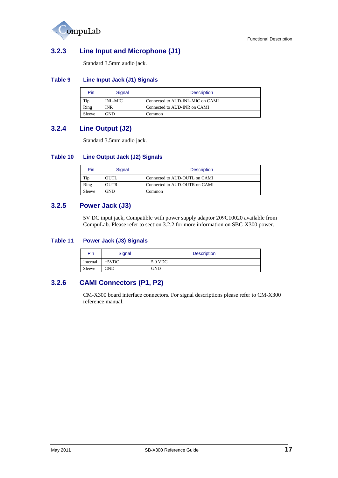

## <span id="page-16-0"></span>**3.2.3 Line Input and Microphone (J1)**

Standard 3.5mm audio jack.

#### <span id="page-16-4"></span>**Table 9 Line Input Jack (J1) Signals**

| Pin    | Signal  | <b>Description</b>               |
|--------|---------|----------------------------------|
| Tip    | INL-MIC | Connected to AUD-INL-MIC on CAMI |
| Ring   | INR     | Connected to AUD-INR on CAMI     |
| Sleeve | GND     | Common                           |

## <span id="page-16-1"></span>**3.2.4 Line Output (J2)**

Standard 3.5mm audio jack.

#### <span id="page-16-5"></span>**Table 10 Line Output Jack (J2) Signals**

| Pin    | Signal | <b>Description</b>            |
|--------|--------|-------------------------------|
| Tip    | OUTL   | Connected to AUD-OUTL on CAMI |
| Ring   | OUTR   | Connected to AUD-OUTR on CAMI |
| Sleeve | GND    | Common                        |

## <span id="page-16-2"></span>**3.2.5 Power Jack (J3)**

5V DC input jack, Compatible with power supply adaptor 209C10020 available from CompuLab. Please refer to section [3.2.2](#page-15-0) for more information on SBC-X300 power.

#### <span id="page-16-6"></span>**Table 11 Power Jack (J3) Signals**

| Pin      | Signal   | <b>Description</b> |
|----------|----------|--------------------|
| Internal | $+5$ VDC | 5.0 VDC            |
| Sleeve   | GND      | GND                |

## <span id="page-16-3"></span>**3.2.6 CAMI Connectors (P1, P2)**

CM-X300 board interface connectors. For signal descriptions please refer to CM-X300 reference manual.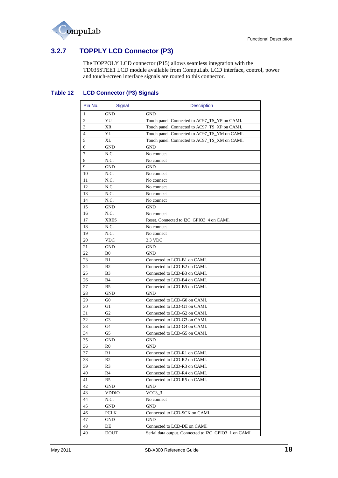

## <span id="page-17-0"></span>**3.2.7 TOPPLY LCD Connector (P3)**

The TOPPOLY LCD connector (P15) allows seamless integration with the TD035STEE1 LCD module available from CompuLab. LCD interface, control, power and touch-screen interface signals are routed to this connector.

### <span id="page-17-1"></span>**Table 12 LCD Connector (P3) Signals**

| Pin No. | Signal         | <b>Description</b>                                    |
|---------|----------------|-------------------------------------------------------|
| 1       | GND            | <b>GND</b>                                            |
| 2       | YU             | Touch panel. Connected to AC97_TS_YP on CAMI.         |
| 3       | XR             | Touch panel. Connected to AC97_TS_XP on CAMI.         |
| 4       | YL             | Touch panel. Connected to AC97_TS_YM on CAMI.         |
| 5       | XL             | Touch panel. Connected to AC97_TS_XM on CAMI.         |
| 6       | GND            | GND                                                   |
| 7       | N.C.           | No connect                                            |
| 8       | N.C.           | No connect                                            |
| 9       | <b>GND</b>     | <b>GND</b>                                            |
| 10      | N.C.           | No connect                                            |
| 11      | N.C.           | No connect                                            |
| 12      | N.C.           | No connect                                            |
| 13      | N.C.           | No connect                                            |
| 14      | N.C.           | No connect                                            |
| 15      | GND            | <b>GND</b>                                            |
| 16      | N.C.           | No connect                                            |
| 17      | <b>XRES</b>    | Reset. Connected to I2C GPIO3 4 on CAMI.              |
| 18      | N.C.           | No connect                                            |
| 19      | N.C.           | No connect                                            |
| 20      | <b>VDC</b>     | 3.3 VDC                                               |
| 21      | <b>GND</b>     | <b>GND</b>                                            |
| 22      | B <sub>0</sub> | <b>GND</b>                                            |
| 23      | B1             | Connected to LCD-B1 on CAMI.                          |
| 24      | B <sub>2</sub> | Connected to LCD-B2 on CAMI.                          |
| 25      | B3             | Connected to LCD-B3 on CAMI.                          |
| 26      | <b>B</b> 4     | Connected to LCD-B4 on CAMI.                          |
| 27      | <b>B5</b>      | Connected to LCD-B5 on CAMI.                          |
| 28      | <b>GND</b>     | <b>GND</b>                                            |
| 29      | G <sub>0</sub> | Connected to LCD-G0 on CAMI.                          |
| 30      | G1             | Connected to LCD-G1 on CAMI.                          |
| 31      | G2             | Connected to LCD-G2 on CAMI.                          |
| 32      | G3             | Connected to LCD-G3 on CAMI.                          |
| 33      | G4             | Connected to LCD-G4 on CAMI.                          |
| 34      | G5             | Connected to LCD-G5 on CAMI.                          |
| 35      | GND            | <b>GND</b>                                            |
| 36      | R0             | GND                                                   |
| 37      | R1             | Connected to LCD-R1 on CAMI.                          |
| 38      | R2             | Connected to LCD-R2 on CAMI.                          |
| 39      | R3             | Connected to LCD-R3 on CAMI.                          |
| 40      | R4             | Connected to LCD-R4 on CAMI.                          |
| 41      | R5             | Connected to LCD-R5 on CAMI.                          |
| 42      | GND            | <b>GND</b>                                            |
| 43      | <b>VDDIO</b>   | $VCC3_3$                                              |
| 44      | N.C.           | No connect                                            |
| 45      | GND            | <b>GND</b>                                            |
| 46      | <b>PCLK</b>    | Connected to LCD-SCK on CAMI.                         |
| 47      | GND            | <b>GND</b>                                            |
| 48      | DE             | Connected to LCD-DE on CAMI.                          |
| 49      | <b>DOUT</b>    | Serial data output. Connected to I2C_GPIO3_1 on CAMI. |
|         |                |                                                       |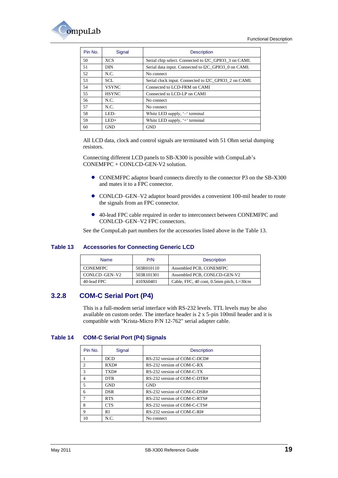

| Pin No. | Signal       | <b>Description</b>                                    |
|---------|--------------|-------------------------------------------------------|
| 50      | <b>XCS</b>   | Serial chip select. Connected to I2C GPIO3 3 on CAMI. |
| 51      | DIN          | Serial data input. Connected to I2C GPIO3 0 on CAMI.  |
| 52      | N.C.         | No connect                                            |
| 53      | SCL.         | Serial clock input. Connected to I2C GPIO3 2 on CAMI. |
| 54      | <b>VSYNC</b> | Connected to LCD-FRM on CAMI                          |
| 55      | <b>HSYNC</b> | Connected to LCD-LP on CAMI                           |
| 56      | N.C.         | No connect                                            |
| 57      | N.C.         | No connect                                            |
| 58      | LED-         | White LED supply, '-' terminal                        |
| 59      | $LED+$       | White LED supply, '+' terminal                        |
| 60      | <b>GND</b>   | <b>GND</b>                                            |

All LCD data, clock and control signals are terminated with 51 Ohm serial dumping resistors.

Connecting different LCD panels to SB-X300 is possible with CompuLab's CONEMFPC + CONLCD-GEN-V2 solution.

- CONEMFPC adaptor board connects directly to the connector P3 on the SB-X300 and mates it to a FPC connector.
- CONLCD–GEN–V2 adaptor board provides a convenient 100-mil header to route the signals from an FPC connector.
- 40-lead FPC cable required in order to interconnect between CONEMFPC and CONLCD–GEN–V2 FPC connectors.

See the CompuLab part numbers for the accessories listed above in the [Table 13.](#page-18-1)

#### <span id="page-18-1"></span>**Table 13 Accessories for Connecting Generic LCD**

| <b>Name</b>     | P/N        | <b>Description</b>                                                        |
|-----------------|------------|---------------------------------------------------------------------------|
| <b>CONEMFPC</b> | 503R010110 | Assembled PCB, CONEMFPC                                                   |
| CONLCD-GEN-V2   | 503R101301 | Assembled PCB, CONLCD-GEN-V2                                              |
| 40-lead FPC     | 410X60401  | Cable, FFC, $40 \text{ cont}$ , $0.5 \text{mm}$ pitch, $L = 30 \text{cm}$ |

## <span id="page-18-0"></span>**3.2.8 COM-C Serial Port (P4)**

This is a full-modem serial interface with RS-232 levels. TTL levels may be also available on custom order. The interface header is 2 x 5-pin 100mil header and it is compatible with "Krista-Micro P/N 12-762" serial adapter cable.

#### <span id="page-18-2"></span>**Table 14 COM-C Serial Port (P4) Signals**

| Pin No.        | Signal     | <b>Description</b>           |
|----------------|------------|------------------------------|
|                | <b>DCD</b> | RS-232 version of COM-C-DCD# |
| $\mathfrak{D}$ | RXD#       | RS-232 version of COM-C-RX   |
| $\mathcal{F}$  | TXD#       | RS-232 version of COM-C-TX   |
| 4              | <b>DTR</b> | RS-232 version of COM-C-DTR# |
| $\overline{5}$ | <b>GND</b> | <b>GND</b>                   |
| 6              | <b>DSR</b> | RS-232 version of COM-C-DSR# |
|                | <b>RTS</b> | RS-232 version of COM-C-RTS# |
| 8              | <b>CTS</b> | RS-232 version of COM-C-CTS# |
| 9              | <b>RI</b>  | RS-232 version of COM-C-RI#  |
| 10             | N.C.       | No connect                   |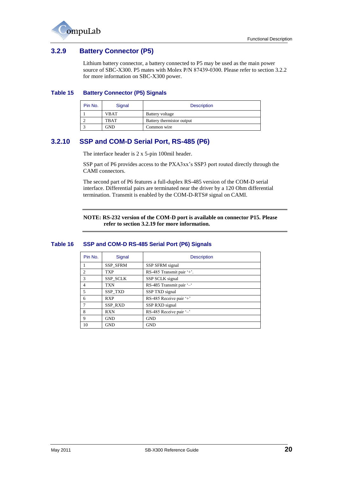

## <span id="page-19-0"></span>**3.2.9 Battery Connector (P5)**

Lithium battery connector, a battery connected to P5 may be used as the main power source of SBC-X300. P5 mates with Molex P/N 87439-0300. Please refer to section [3.2.2](#page-15-0) for more information on SBC-X300 power.

#### <span id="page-19-2"></span>**Table 15 Battery Connector (P5) Signals**

| Pin No. | Signal      | <b>Description</b>        |
|---------|-------------|---------------------------|
|         | <b>VBAT</b> | Battery voltage           |
|         | <b>TBAT</b> | Battery thermistor output |
|         | <b>GND</b>  | Common wire               |

## <span id="page-19-1"></span>**3.2.10 SSP and COM-D Serial Port, RS-485 (P6)**

The interface header is 2 x 5-pin 100mil header.

SSP part of P6 provides access to the PXA3xx's SSP3 port routed directly through the CAMI connectors.

The second part of P6 features a full-duplex RS-485 version of the COM-D serial interface. Differential pairs are terminated near the driver by a 120 Ohm differential termination. Transmit is enabled by the COM-D-RTS# signal on CAMI.

**NOTE: RS-232 version of the COM-D port is available on connector P15. Please refer to section [3.2.19](#page-26-0) for more information.**

#### <span id="page-19-3"></span>**Table 16 SSP and COM-D RS-485 Serial Port (P6) Signals**

| Pin No. | Signal          | <b>Description</b>        |
|---------|-----------------|---------------------------|
|         | SSP_SFRM        | SSP SFRM signal           |
| 2       | <b>TXP</b>      | RS-485 Transmit pair '+'. |
| 3       | <b>SSP SCLK</b> | SSP SCLK signal           |
| 4       | <b>TXN</b>      | RS-485 Transmit pair '-'  |
| 5       | <b>SSP TXD</b>  | SSP TXD signal            |
| 6       | <b>RXP</b>      | RS-485 Receive pair '+'   |
| $\tau$  | SSP_RXD         | SSP RXD signal            |
| 8       | <b>RXN</b>      | RS-485 Receive pair '-'   |
| 9       | <b>GND</b>      | <b>GND</b>                |
| 10      | <b>GND</b>      | <b>GND</b>                |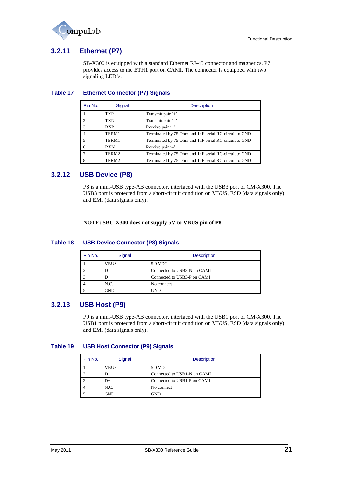

## <span id="page-20-0"></span>**3.2.11 Ethernet (P7)**

SB-X300 is equipped with a standard Ethernet RJ-45 connector and magnetics. P7 provides access to the ETH1 port on CAMI. The connector is equipped with two signaling LED's.

#### <span id="page-20-3"></span>**Table 17 Ethernet Connector (P7) Signals**

| Pin No.       | Signal     | <b>Description</b>                                    |
|---------------|------------|-------------------------------------------------------|
|               | TXP        | Transmit pair '+'                                     |
|               | TXN        | Transmit pair '-'                                     |
| $\mathcal{R}$ | <b>RXP</b> | Receive pair '+'                                      |
|               | TERM1      | Terminated by 75 Ohm and 1nF serial RC-circuit to GND |
|               | TERM1      | Terminated by 75 Ohm and 1nF serial RC-circuit to GND |
| 6             | <b>RXN</b> | Receive pair '-'                                      |
|               | TERM2      | Terminated by 75 Ohm and 1nF serial RC-circuit to GND |
| 8             | TERM2      | Terminated by 75 Ohm and 1nF serial RC-circuit to GND |

## <span id="page-20-1"></span>**3.2.12 USB Device (P8)**

P8 is a mini-USB type-AB connector, interfaced with the USB3 port of CM-X300. The USB3 port is protected from a short-circuit condition on VBUS, ESD (data signals only) and EMI (data signals only).

**NOTE: SBC-X300 does not supply 5V to VBUS pin of P8.**

#### <span id="page-20-4"></span>**Table 18 USB Device Connector (P8) Signals**

| Pin No. | Signal      | <b>Description</b>          |
|---------|-------------|-----------------------------|
|         | <b>VBUS</b> | 5.0 VDC                     |
|         | D-          | Connected to USB3-N on CAMI |
|         | $D+$        | Connected to USB3-P on CAMI |
|         | N.C.        | No connect                  |
|         | <b>GND</b>  | GND                         |

## <span id="page-20-2"></span>**3.2.13 USB Host (P9)**

P9 is a mini-USB type-AB connector, interfaced with the USB1 port of CM-X300. The USB1 port is protected from a short-circuit condition on VBUS, ESD (data signals only) and EMI (data signals only).

#### <span id="page-20-5"></span>**Table 19 USB Host Connector (P9) Signals**

| Pin No. | Signal      | <b>Description</b>          |  |
|---------|-------------|-----------------------------|--|
|         | <b>VBUS</b> | 5.0 VDC                     |  |
|         |             | Connected to USB1-N on CAMI |  |
|         | D+          | Connected to USB1-P on CAMI |  |
|         | N.C.        | No connect                  |  |
|         | <b>GND</b>  | GND                         |  |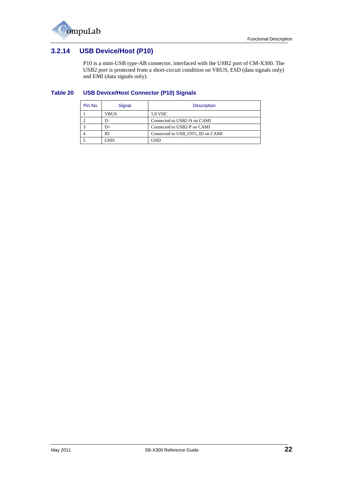

## <span id="page-21-0"></span>**3.2.14 USB Device/Host (P10)**

P10 is a mini-USB type-AB connector, interfaced with the USB2 port of CM-X300. The USB2 port is protected from a short-circuit condition on VBUS, ESD (data signals only) and EMI (data signals only).

#### <span id="page-21-1"></span>**Table 20 USB Device/Host Connector (P10) Signals**

| Pin No. | Signal | <b>Description</b>              |  |
|---------|--------|---------------------------------|--|
|         | VBUS   | 5.0 VDC                         |  |
|         | $D-$   | Connected to USB2-N on CAMI     |  |
|         | $D+$   | Connected to USB2-P on CAMI     |  |
|         | ID     | Connected to USB OTG ID on CAMI |  |
|         | GND    | GND                             |  |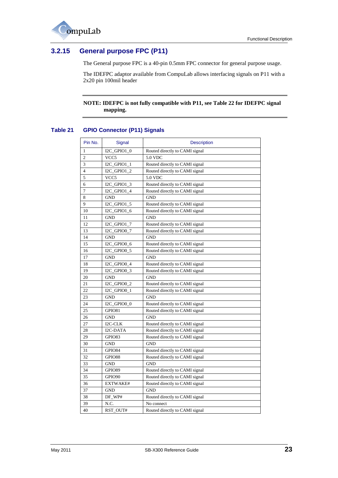

## <span id="page-22-2"></span><span id="page-22-0"></span>**3.2.15 General purpose FPC (P11)**

The General purpose FPC is a 40-pin 0.5mm FPC connector for general purpose usage.

The IDEFPC adaptor available from CompuLab allows interfacing signals on P11 with a 2x20 pin 100mil header

#### **NOTE: IDEFPC is not fully compatible with P11, see [Table 22](#page-23-0) for IDEFPC signal mapping.**

## <span id="page-22-1"></span>**Table 21 GPIO Connector (P11) Signals**

| Pin No.        | Signal           | <b>Description</b>             |  |
|----------------|------------------|--------------------------------|--|
| 1              | I2C_GPIO1_0      | Routed directly to CAMI signal |  |
| $\overline{c}$ | VCC <sub>5</sub> | 5.0 VDC                        |  |
| 3              | $I2C_GPIO1_1$    | Routed directly to CAMI signal |  |
| $\overline{4}$ | $I2C_GPIO1_2$    | Routed directly to CAMI signal |  |
| 5              | VCC <sub>5</sub> | 5.0 VDC                        |  |
| 6              | $I2C_GPIO1_3$    | Routed directly to CAMI signal |  |
| 7              | I2C_GPIO1_4      | Routed directly to CAMI signal |  |
| 8              | <b>GND</b>       | <b>GND</b>                     |  |
| 9              | I2C_GPIO1_5      | Routed directly to CAMI signal |  |
| 10             | I2C_GPIO1_6      | Routed directly to CAMI signal |  |
| 11             | <b>GND</b>       | <b>GND</b>                     |  |
| 12             | I2C_GPIO1_7      | Routed directly to CAMI signal |  |
| 13             | I2C_GPIO0_7      | Routed directly to CAMI signal |  |
| 14             | <b>GND</b>       | <b>GND</b>                     |  |
| 15             | I2C_GPIO0_6      | Routed directly to CAMI signal |  |
| 16             | I2C_GPIO0_5      | Routed directly to CAMI signal |  |
| 17             | <b>GND</b>       | <b>GND</b>                     |  |
| 18             | I2C_GPIO0_4      | Routed directly to CAMI signal |  |
| 19             | $I2C_GPI00_3$    | Routed directly to CAMI signal |  |
| 20             | <b>GND</b>       | <b>GND</b>                     |  |
| 21             | $I2C_GPIO0_2$    | Routed directly to CAMI signal |  |
| 22             | I2C_GPIO0_1      | Routed directly to CAMI signal |  |
| 23             | <b>GND</b>       | <b>GND</b>                     |  |
| 24             | I2C_GPIO0_0      | Routed directly to CAMI signal |  |
| 25             | GPIO81           | Routed directly to CAMI signal |  |
| 26             | <b>GND</b>       | <b>GND</b>                     |  |
| 27             | I2C-CLK          | Routed directly to CAMI signal |  |
| 28             | I2C-DATA         | Routed directly to CAMI signal |  |
| 29             | GPIO83           | Routed directly to CAMI signal |  |
| 30             | <b>GND</b>       | <b>GND</b>                     |  |
| 31             | GPIO84           | Routed directly to CAMI signal |  |
| 32             | GPIO88           | Routed directly to CAMI signal |  |
| 33             | GND              | <b>GND</b>                     |  |
| 34             | GPIO89           | Routed directly to CAMI signal |  |
| 35             | GPIO90           | Routed directly to CAMI signal |  |
| 36             | EXTWAKE#         | Routed directly to CAMI signal |  |
| 37             | <b>GND</b>       | <b>GND</b>                     |  |
| 38             | DF_WP#           | Routed directly to CAMI signal |  |
| 39             | N.C.             | No connect                     |  |
| 40             | RST_OUT#         | Routed directly to CAMI signal |  |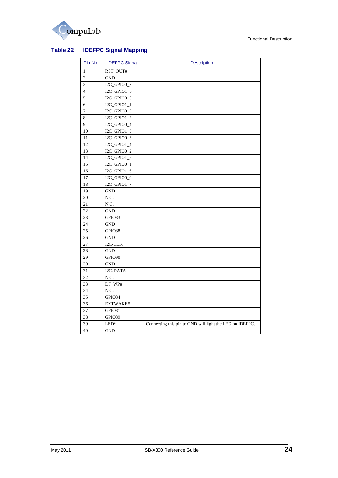

## <span id="page-23-1"></span><span id="page-23-0"></span>**Table 22 IDEFPC Signal Mapping**

| Pin No.        | <b>IDEFPC Signal</b>      | <b>Description</b>                                       |
|----------------|---------------------------|----------------------------------------------------------|
| 1              | RST_OUT#                  |                                                          |
| $\overline{c}$ | <b>GND</b>                |                                                          |
| 3              | I2C_GPIO0_7               |                                                          |
| $\overline{4}$ | $\text{I2C\_GPIO1\_0}$    |                                                          |
| 5              | $\overline{12}C$ _GPIO0_6 |                                                          |
| 6              | $I2C_GPIO1_1$             |                                                          |
| $\tau$         | I2C_GPIO0_5               |                                                          |
| 8              | I2C_GPIO1_2               |                                                          |
| 9              | I2C_GPIO0_4               |                                                          |
| 10             | I2C_GPIO1_3               |                                                          |
| 11             | I2C_GPIO0_3               |                                                          |
| 12             | I2C_GPIO1_4               |                                                          |
| 13             | I2C_GPIO0_2               |                                                          |
| 14             | I2C_GPIO1_5               |                                                          |
| 15             | $I2C_GPIOO_1$             |                                                          |
| 16             | I2C_GPIO1_6               |                                                          |
| 17             | I2C_GPIO0_0               |                                                          |
| 18             | I2C_GPIO1_7               |                                                          |
| 19             | <b>GND</b>                |                                                          |
| 20             | N.C.                      |                                                          |
| 21             | N.C.                      |                                                          |
| 22             | <b>GND</b>                |                                                          |
| 23             | GPIO83                    |                                                          |
| 24             | <b>GND</b>                |                                                          |
| 25             | GPIO88                    |                                                          |
| 26             | <b>GND</b>                |                                                          |
| 27             | I2C-CLK                   |                                                          |
| 28             | <b>GND</b>                |                                                          |
| 29             | GPIO90                    |                                                          |
| 30             | <b>GND</b>                |                                                          |
| 31             | I2C-DATA                  |                                                          |
| 32             | N.C.                      |                                                          |
| 33             | DF_WP#                    |                                                          |
| 34             | N.C.                      |                                                          |
| 35             | GPIO84                    |                                                          |
| 36             | EXTWAKE#                  |                                                          |
| 37             | GPIO81                    |                                                          |
| 38             | GPIO89                    |                                                          |
| 39             | $LED*$                    | Connecting this pin to GND will light the LED on IDEFPC. |
| 40             | <b>GND</b>                |                                                          |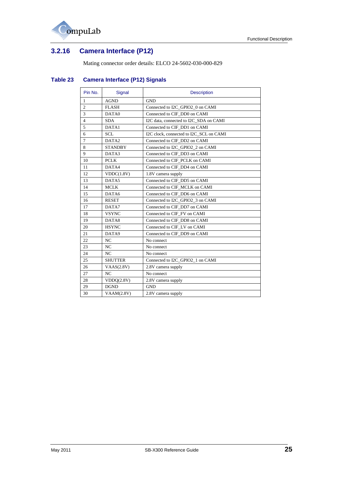

# <span id="page-24-0"></span>**3.2.16 Camera Interface (P12)**

Mating connector order details: ELCO 24-5602-030-000-829

| Pin No.        | Signal            | <b>Description</b>                      |  |
|----------------|-------------------|-----------------------------------------|--|
| 1              | <b>AGND</b>       | <b>GND</b>                              |  |
| $\overline{2}$ | <b>FLASH</b>      | Connected to I2C_GPIO2_0 on CAMI        |  |
| 3              | DATA0             | Connected to CIF_DD0 on CAMI            |  |
| $\overline{4}$ | <b>SDA</b>        | I2C data, connected to I2C_SDA on CAMI  |  |
| 5              | DATA1             | Connected to CIF DD1 on CAMI            |  |
| 6              | <b>SCL</b>        | I2C clock, connected to I2C_SCL on CAMI |  |
| $\overline{7}$ | DATA <sub>2</sub> | Connected to CIF DD2 on CAMI            |  |
| 8              | <b>STANDBY</b>    | Connected to I2C_GPIO2_2 on CAMI        |  |
| 9              | DATA3             | Connected to CIF_DD3 on CAMI            |  |
| 10             | <b>PCLK</b>       | Connected to CIF PCLK on CAMI           |  |
| 11             | DATA4             | Connected to CIF DD4 on CAMI            |  |
| 12             | VDDC(1.8V)        | 1.8V camera supply                      |  |
| 13             | DATA5             | Connected to CIF DD5 on CAMI            |  |
| 14             | <b>MCLK</b>       | Connected to CIF MCLK on CAMI           |  |
| 15             | DATA6             | Connected to CIF DD6 on CAMI            |  |
| 16             | <b>RESET</b>      | Connected to I2C GPIO2 3 on CAMI        |  |
| 17             | DATA7             | Connected to CIF DD7 on CAMI            |  |
| 18             | <b>VSYNC</b>      | Connected to CIF FV on CAMI             |  |
| 19             | DATA8             | Connected to CIF DD8 on CAMI            |  |
| 20             | <b>HSYNC</b>      | Connected to CIF_LV on CAMI             |  |
| 21             | DATA9             | Connected to CIF DD9 on CAMI            |  |
| 22             | NC                | No connect                              |  |
| 23             | NC                | No connect                              |  |
| 24             | NC                | No connect                              |  |
| 25             | <b>SHUTTER</b>    | Connected to I2C_GPIO2_1 on CAMI        |  |
| 26             | VAAS(2.8V)        | 2.8V camera supply                      |  |
| 27             | NC                | No connect                              |  |
| 28             | VDDQ(2.8V)        | 2.8V camera supply                      |  |
| 29             | <b>DGND</b>       | <b>GND</b>                              |  |
| 30             | VAAM(2.8V)        | 2.8V camera supply                      |  |
|                |                   |                                         |  |

## <span id="page-24-1"></span>**Table 23 Camera Interface (P12) Signals**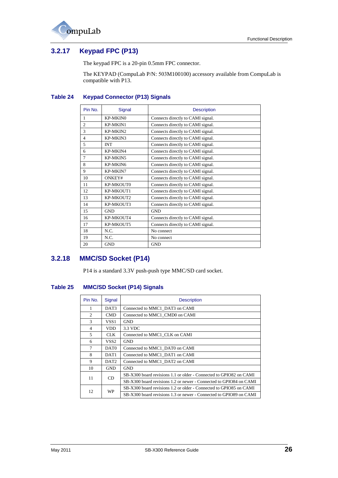



## <span id="page-25-0"></span>**3.2.17 Keypad FPC (P13)**

The keypad FPC is a 20-pin 0.5mm FPC connector.

The KEYPAD (CompuLab P/N: 503M100100) accessory available from CompuLab is compatible with P13.

### <span id="page-25-2"></span>**Table 24 Keypad Connector (P13) Signals**

| Pin No.                  | Signal     | <b>Description</b>                |
|--------------------------|------------|-----------------------------------|
| 1                        | KP-MKIN0   | Connects directly to CAMI signal. |
| $\mathfrak{D}$           | KP-MKIN1   | Connects directly to CAMI signal. |
| 3                        | KP-MKIN2   | Connects directly to CAMI signal. |
| $\overline{\mathcal{L}}$ | KP-MKIN3   | Connects directly to CAMI signal. |
| 5                        | <b>INT</b> | Connects directly to CAMI signal. |
| 6                        | KP-MKIN4   | Connects directly to CAMI signal. |
| 7                        | KP-MKIN5   | Connects directly to CAMI signal. |
| 8                        | KP-MKIN6   | Connects directly to CAMI signal. |
| 9                        | KP-MKIN7   | Connects directly to CAMI signal. |
| 10                       | ONKEY#     | Connects directly to CAMI signal. |
| 11                       | KP-MKOUT0  | Connects directly to CAMI signal. |
| 12                       | KP-MKOUT1  | Connects directly to CAMI signal. |
| 13                       | KP-MKOUT2  | Connects directly to CAMI signal. |
| 14                       | KP-MKOUT3  | Connects directly to CAMI signal. |
| 15                       | <b>GND</b> | <b>GND</b>                        |
| 16                       | KP-MKOUT4  | Connects directly to CAMI signal. |
| 17                       | KP-MKOUT5  | Connects directly to CAMI signal. |
| 18                       | N.C.       | No connect                        |
| 19                       | N.C.       | No connect                        |
| 20                       | <b>GND</b> | <b>GND</b>                        |

## <span id="page-25-1"></span>**3.2.18 MMC/SD Socket (P14)**

P14 is a standard 3.3V push-push type MMC/SD card socket.

#### <span id="page-25-3"></span>**Table 25 MMC/SD Socket (P14) Signals**

| Pin No. | Signal           | <b>Description</b>                                                 |  |
|---------|------------------|--------------------------------------------------------------------|--|
| 1       | DAT3             | Connected to MMC1 DAT3 on CAMI                                     |  |
| 2       | <b>CMD</b>       | Connected to MMC1 CMD0 on CAMI                                     |  |
| 3       | VSS <sub>1</sub> | <b>GND</b>                                                         |  |
| 4       | <b>VDD</b>       | 3.3 VDC                                                            |  |
| 5       | CLK.             | Connected to MMC1_CLK on CAMI                                      |  |
| 6       | VSS2             | <b>GND</b>                                                         |  |
| $\tau$  | DAT <sub>0</sub> | Connected to MMC1_DAT0 on CAMI                                     |  |
| 8       | DAT1             | Connected to MMC1 DAT1 on CAMI                                     |  |
| 9       | DAT <sub>2</sub> | Connected to MMC1_DAT2 on CAMI                                     |  |
| 10      | <b>GND</b>       | <b>GND</b>                                                         |  |
| 11      | CD               | SB-X300 board revisions 1.1 or older - Connected to GPIO82 on CAMI |  |
|         |                  | SB-X300 board revisions 1.2 or newer - Connected to GPIO84 on CAMI |  |
|         |                  | SB-X300 board revisions 1.2 or older - Connected to GPIO85 on CAMI |  |
| 12      | WP               | SB-X300 board revisions 1.3 or newer - Connected to GPIO89 on CAMI |  |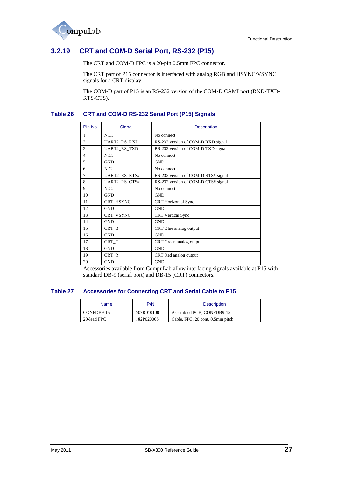

## <span id="page-26-0"></span>**3.2.19 CRT and COM-D Serial Port, RS-232 (P15)**

The CRT and COM-D FPC is a 20-pin 0.5mm FPC connector.

The CRT part of P15 connector is interfaced with analog RGB and HSYNC/VSYNC signals for a CRT display.

The COM-D part of P15 is an RS-232 version of the COM-D CAMI port (RXD-TXD-RTS-CTS).

#### <span id="page-26-1"></span>**Table 26 CRT and COM-D RS-232 Serial Port (P15) Signals**

| Pin No.        | Signal               | <b>Description</b>                  |
|----------------|----------------------|-------------------------------------|
| 1              | N.C.                 | No connect                          |
| $\overline{c}$ | <b>UART2_RS_RXD</b>  | RS-232 version of COM-D RXD signal  |
| 3              | <b>UART2 RS TXD</b>  | RS-232 version of COM-D TXD signal  |
| $\overline{4}$ | N.C.                 | No connect                          |
| 5              | <b>GND</b>           | <b>GND</b>                          |
| 6              | N.C.                 | No connect                          |
| $\overline{7}$ | UART2_RS_RTS#        | RS-232 version of COM-D RTS# signal |
| 8              | <b>UART2_RS_CTS#</b> | RS-232 version of COM-D CTS# signal |
| 9              | N.C.                 | No connect                          |
| 10             | <b>GND</b>           | <b>GND</b>                          |
| 11             | CRT HSYNC            | <b>CRT</b> Horizontal Sync          |
| 12             | <b>GND</b>           | <b>GND</b>                          |
| 13             | CRT VSYNC            | <b>CRT</b> Vertical Sync            |
| 14             | <b>GND</b>           | <b>GND</b>                          |
| 15             | CRT B                | CRT Blue analog output              |
| 16             | <b>GND</b>           | <b>GND</b>                          |
| 17             | CRT G                | CRT Green analog output             |
| 18             | <b>GND</b>           | <b>GND</b>                          |
| 19             | CRT R                | CRT Red analog output               |
| 20             | <b>GND</b>           | <b>GND</b>                          |

Accessories available from CompuLab allow interfacing signals available at P15 with standard DB-9 (serial port) and DB-15 (CRT) connectors.

#### <span id="page-26-2"></span>**Table 27 Accessories for Connecting CRT and Serial Cable to P15**

| <b>Name</b> | P/N        | <b>Description</b>               |
|-------------|------------|----------------------------------|
| CONFDB9-15  | 503R010100 | Assembled PCB, CONFDB9-15        |
| 20-lead FPC | 182P02000S | Cable, FPC, 20 cont, 0.5mm pitch |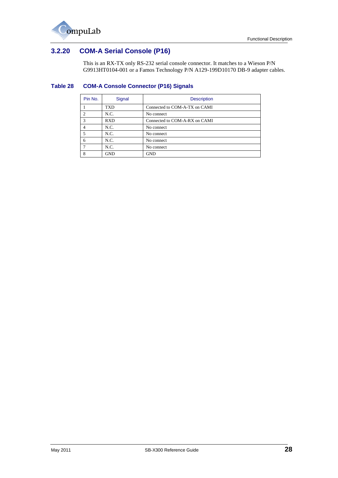

## <span id="page-27-0"></span>**3.2.20 COM-A Serial Console (P16)**

This is an RX-TX only RS-232 serial console connector. It matches to a Wieson P/N G9913HT0104-001 or a Famos Technology P/N A129-199D10170 DB-9 adapter cables.

#### <span id="page-27-1"></span>**Table 28 COM-A Console Connector (P16) Signals**

| Pin No.        | Signal     | <b>Description</b>            |  |
|----------------|------------|-------------------------------|--|
|                | <b>TXD</b> | Connected to COM-A-TX on CAMI |  |
| $\overline{2}$ | N.C.       | No connect                    |  |
| 3              | <b>RXD</b> | Connected to COM-A-RX on CAMI |  |
| $\overline{4}$ | N.C.       | No connect                    |  |
| 5              | N.C.       | No connect                    |  |
| 6              | N.C.       | No connect                    |  |
|                | N.C.       | No connect                    |  |
| 8              | <b>GND</b> | <b>GND</b>                    |  |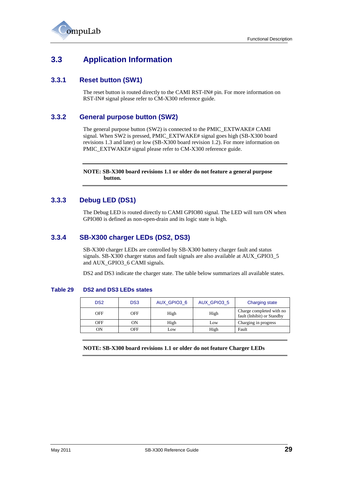

# <span id="page-28-0"></span>**3.3 Application Information**

## <span id="page-28-1"></span>**3.3.1 Reset button (SW1)**

The reset button is routed directly to the CAMI RST-IN# pin. For more information on RST-IN# signal please refer to CM-X300 reference guide.

### <span id="page-28-2"></span>**3.3.2 General purpose button (SW2)**

The general purpose button (SW2) is connected to the PMIC\_EXTWAKE# CAMI signal. When SW2 is pressed, PMIC\_EXTWAKE# signal goes high (SB-X300 board revisions 1.3 and later) or low (SB-X300 board revision 1.2). For more information on PMIC\_EXTWAKE# signal please refer to CM-X300 reference guide.

**NOTE: SB-X300 board revisions 1.1 or older do not feature a general purpose button.**

## <span id="page-28-3"></span>**3.3.3 Debug LED (DS1)**

The Debug LED is routed directly to CAMI GPIO80 signal. The LED will turn ON when GPIO80 is defined as non-open-drain and its logic state is high.

## <span id="page-28-4"></span>**3.3.4 SB-X300 charger LEDs (DS2, DS3)**

SB-X300 charger LEDs are controlled by SB-X300 battery charger fault and status signals. SB-X300 charger status and fault signals are also available at AUX\_GPIO3\_5 and AUX\_GPIO3\_6 CAMI signals.

DS2 and DS3 indicate the charger state. The table below summarizes all available states.

#### <span id="page-28-5"></span>**Table 29 DS2 and DS3 LEDs states**

| DS <sub>2</sub> | DS <sub>3</sub> | AUX GPIO3 6 | AUX GPIO3 5 | <b>Charging state</b>                                  |
|-----------------|-----------------|-------------|-------------|--------------------------------------------------------|
| OFF             | OFF             | High        | High        | Charge completed with no<br>fault (Inhibit) or Standby |
| OFF             | OΝ              | High        | LOW         | Charging in progress                                   |
| ON              | OFF             | Low         | High        | Fault                                                  |

**NOTE: SB-X300 board revisions 1.1 or older do not feature Charger LEDs**